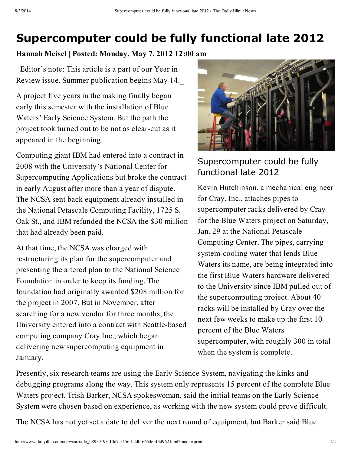## **Supercomputer could be fully functional late 2012**

## **Hannah Meisel | Posted: Monday, May 7, 2012 12:00 am**

\_Editor's note: This article is a part of our Year in Review issue. Summer publication begins May 14.\_

A project five years in the making finally began early this semester with the installation of Blue Waters' Early Science System. But the path the project took turned out to be not as clear-cut as it appeared in the beginning.

Computing giant IBM had entered into a contract in 2008 with the University's National Center for Supercomputing Applications but broke the contract in early August after more than a year of dispute. The NCSA sent back equipment already installed in the National Petascale Computing Facility, 1725 S. Oak St., and IBM refunded the NCSA the \$30 million that had already been paid.

At that time, the NCSA was charged with restructuring its plan for the supercomputer and presenting the altered plan to the National Science Foundation in order to keep its funding. The foundation had originally awarded \$208 million for the project in 2007. But in November, after searching for a new vendor for three months, the University entered into a contract with Seattle-based computing company Cray Inc., which began delivering new supercomputing equipment in January.



## Supercomputer could be fully functional late 2012

Kevin Hutchinson, a mechanical engineer for Cray, Inc., attaches pipes to supercomputer racks delivered by Cray for the Blue Waters project on Saturday, Jan. 29 at the National Petascale Computing Center. The pipes, carrying system-cooling water that lends Blue Waters its name, are being integrated into the first Blue Waters hardware delivered to the University since IBM pulled out of the supercomputing project. About 40 racks will be installed by Cray over the next few weeks to make up the first 10 percent of the Blue Waters supercomputer, with roughly 300 in total when the system is complete.

Presently, six research teams are using the Early Science System, navigating the kinks and debugging programs along the way. This system only represents 15 percent of the complete Blue Waters project. Trish Barker, NCSA spokeswoman, said the initial teams on the Early Science System were chosen based on experience, as working with the new system could prove difficult.

The NCSA has not yet set a date to deliver the next round of equipment, but Barker said Blue